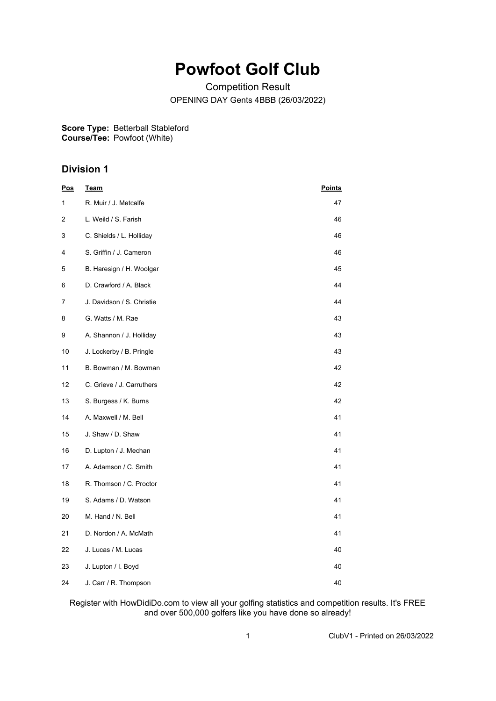## **Powfoot Golf Club**

Competition Result OPENING DAY Gents 4BBB (26/03/2022)

**Score Type:** Betterball Stableford **Course/Tee:** Powfoot (White)

## **Division 1**

| <u>Pos</u> | <b>Team</b>               | <b>Points</b> |
|------------|---------------------------|---------------|
| 1          | R. Muir / J. Metcalfe     | 47            |
| 2          | L. Weild / S. Farish      | 46            |
| 3          | C. Shields / L. Holliday  | 46            |
| 4          | S. Griffin / J. Cameron   | 46            |
| 5          | B. Haresign / H. Woolgar  | 45            |
| 6          | D. Crawford / A. Black    | 44            |
| 7          | J. Davidson / S. Christie | 44            |
| 8          | G. Watts / M. Rae         | 43            |
| 9          | A. Shannon / J. Holliday  | 43            |
| 10         | J. Lockerby / B. Pringle  | 43            |
| 11         | B. Bowman / M. Bowman     | 42            |
| 12         | C. Grieve / J. Carruthers | 42            |
| 13         | S. Burgess / K. Burns     | 42            |
| 14         | A. Maxwell / M. Bell      | 41            |
| 15         | J. Shaw / D. Shaw         | 41            |
| 16         | D. Lupton / J. Mechan     | 41            |
| 17         | A. Adamson / C. Smith     | 41            |
| 18         | R. Thomson / C. Proctor   | 41            |
| 19         | S. Adams / D. Watson      | 41            |
| 20         | M. Hand / N. Bell         | 41            |
| 21         | D. Nordon / A. McMath     | 41            |
| 22         | J. Lucas / M. Lucas       | 40            |
| 23         | J. Lupton / I. Boyd       | 40            |
| 24         | J. Carr / R. Thompson     | 40            |

Register with HowDidiDo.com to view all your golfing statistics and competition results. It's FREE and over 500,000 golfers like you have done so already!